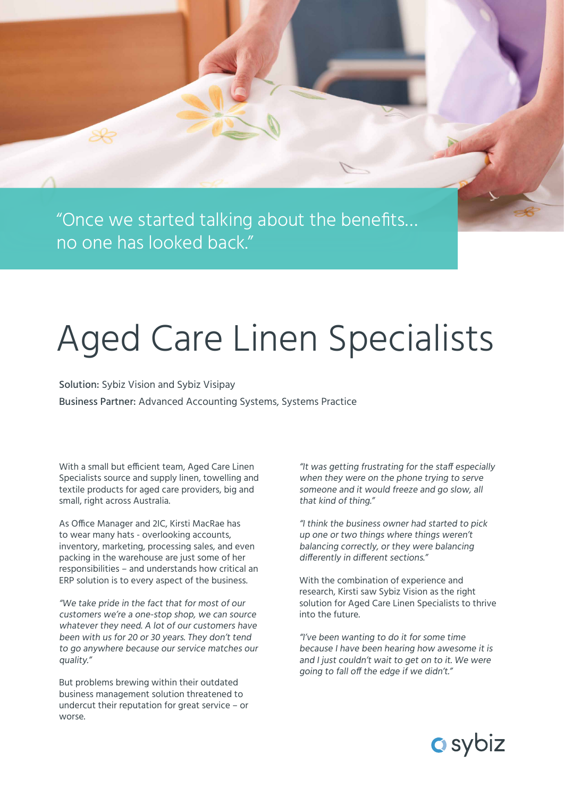"Once we started talking about the benefits… no one has looked back."

## Aged Care Linen Specialists

Solution: Sybiz Vision and Sybiz Visipay Business Partner: Advanced Accounting Systems, Systems Practice

With a small but efficient team, Aged Care Linen Specialists source and supply linen, towelling and textile products for aged care providers, big and small, right across Australia.

As Office Manager and 2IC, Kirsti MacRae has to wear many hats - overlooking accounts, inventory, marketing, processing sales, and even packing in the warehouse are just some of her responsibilities – and understands how critical an ERP solution is to every aspect of the business.

"We take pride in the fact that for most of our customers we're a one-stop shop, we can source whatever they need. A lot of our customers have been with us for 20 or 30 years. They don't tend to go anywhere because our service matches our quality."

But problems brewing within their outdated business management solution threatened to undercut their reputation for great service – or worse.

"It was getting frustrating for the staff especially when they were on the phone trying to serve someone and it would freeze and go slow, all that kind of thing."

"I think the business owner had started to pick up one or two things where things weren't balancing correctly, or they were balancing differently in different sections."

With the combination of experience and research, Kirsti saw Sybiz Vision as the right solution for Aged Care Linen Specialists to thrive into the future.

"I've been wanting to do it for some time because I have been hearing how awesome it is and I just couldn't wait to get on to it. We were going to fall off the edge if we didn't."

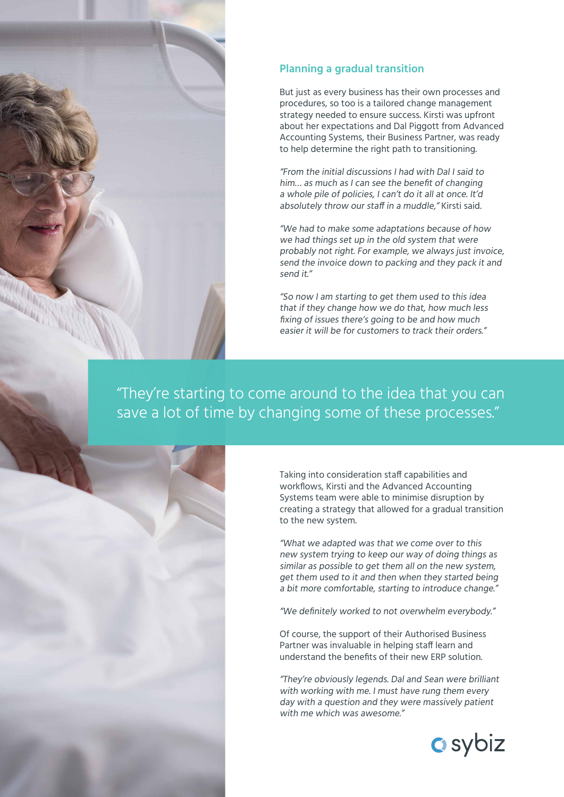

But just as every business has their own processes and procedures, so too is a tailored change management strategy needed to ensure success. Kirsti was upfront about her expectations and Dal Piggott from Advanced Accounting Systems, their Business Partner, was ready to help determine the right path to transitioning.

"From the initial discussions I had with Dal I said to him… as much as I can see the benefit of changing a whole pile of policies, I can't do it all at once. It'd absolutely throw our staff in a muddle." Kirsti said.

"We had to make some adaptations because of how we had things set up in the old system that were probably not right. For example, we always just invoice, send the invoice down to packing and they pack it and send it."

"So now I am starting to get them used to this idea that if they change how we do that, how much less fixing of issues there's going to be and how much easier it will be for customers to track their orders."

"They're starting to come around to the idea that you can save a lot of time by changing some of these processes."



"What we adapted was that we come over to this new system trying to keep our way of doing things as similar as possible to get them all on the new system, get them used to it and then when they started being a bit more comfortable, starting to introduce change."

"We definitely worked to not overwhelm everybody."

Of course, the support of their Authorised Business Partner was invaluable in helping staff learn and understand the benefits of their new ERP solution.

"They're obviously legends. Dal and Sean were brilliant with working with me. I must have rung them every day with a question and they were massively patient with me which was awesome"

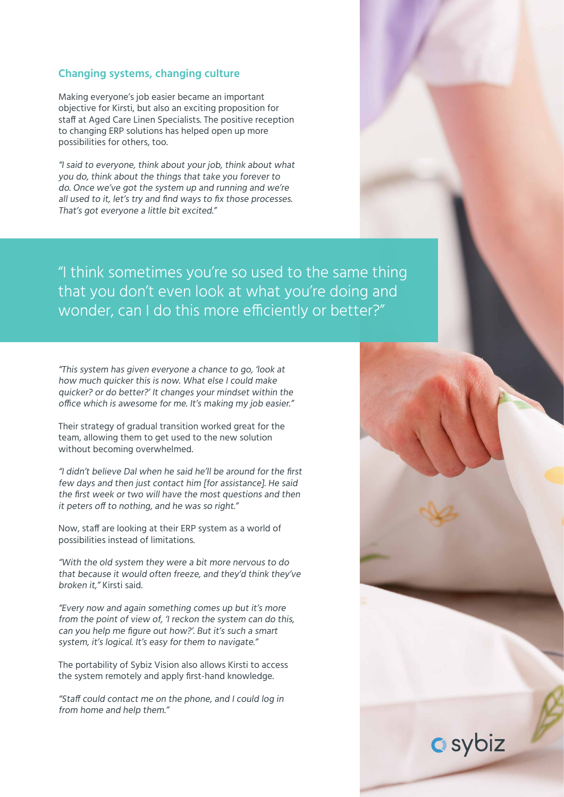## **Changing systems, changing culture**

Making everyone's job easier became an important objective for Kirsti, but also an exciting proposition for staff at Aged Care Linen Specialists. The positive reception to changing ERP solutions has helped open up more possibilities for others, too.

"I said to everyone, think about your job, think about what you do, think about the things that take you forever to do. Once we've got the system up and running and we're all used to it, let's try and find ways to fix those processes. That's got everyone a little bit excited."

"I think sometimes you're so used to the same thing that you don't even look at what you're doing and wonder, can I do this more efficiently or better?"

"This system has given everyone a chance to go, 'look at how much quicker this is now. What else I could make quicker? or do better?' It changes your mindset within the office which is awesome for me. It's making my job easier."

Their strategy of gradual transition worked great for the team, allowing them to get used to the new solution without becoming overwhelmed.

"I didn't believe Dal when he said he'll be around for the first few days and then just contact him [for assistance]. He said the first week or two will have the most questions and then it peters off to nothing, and he was so right."

Now, staff are looking at their ERP system as a world of possibilities instead of limitations.

"With the old system they were a bit more nervous to do that because it would often freeze, and they'd think they've broken it," Kirsti said.

"Every now and again something comes up but it's more from the point of view of, 'I reckon the system can do this, can you help me figure out how?'. But it's such a smart system, it's logical. It's easy for them to navigate."

The portability of Sybiz Vision also allows Kirsti to access the system remotely and apply first-hand knowledge.

"Staff could contact me on the phone, and I could log in from home and help them."

**a** sybiz